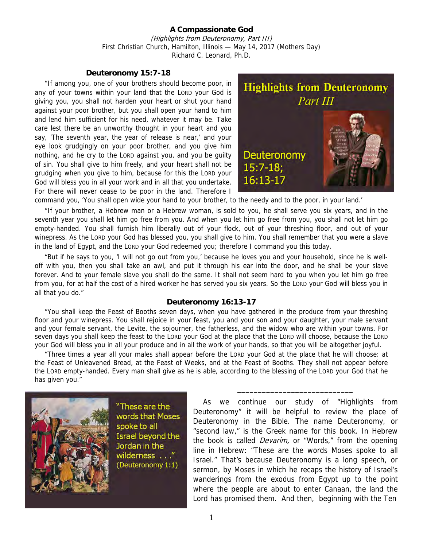## **A Compassionate God**  (Highlights from Deuteronomy, Part III) First Christian Church, Hamilton, Illinois — May 14, 2017 (Mothers Day) Richard C. Leonard, Ph.D.

## **Deuteronomy 15:7-18**

"If among you, one of your brothers should become poor, in any of your towns within your land that the LORD your God is giving you, you shall not harden your heart or shut your hand against your poor brother, but you shall open your hand to him and lend him sufficient for his need, whatever it may be. Take care lest there be an unworthy thought in your heart and you say, 'The seventh year, the year of release is near,' and your eye look grudgingly on your poor brother, and you give him nothing, and he cry to the LORD against you, and you be guilty of sin. You shall give to him freely, and your heart shall not be grudging when you give to him, because for this the LORD your God will bless you in all your work and in all that you undertake. For there will never cease to be poor in the land. Therefore I



command you, 'You shall open wide your hand to your brother, to the needy and to the poor, in your land.'

"If your brother, a Hebrew man or a Hebrew woman, is sold to you, he shall serve you six years, and in the seventh year you shall let him go free from you. And when you let him go free from you, you shall not let him go empty-handed. You shall furnish him liberally out of your flock, out of your threshing floor, and out of your winepress. As the LORD your God has blessed you, you shall give to him. You shall remember that you were a slave in the land of Egypt, and the LORD your God redeemed you; therefore I command you this today.

"But if he says to you, 'I will not go out from you,' because he loves you and your household, since he is welloff with you, then you shall take an awl, and put it through his ear into the door, and he shall be your slave forever. And to your female slave you shall do the same. It shall not seem hard to you when you let him go free from you, for at half the cost of a hired worker he has served you six years. So the LORD your God will bless you in all that you do."

## **Deuteronomy 16:13-17**

"You shall keep the Feast of Booths seven days, when you have gathered in the produce from your threshing floor and your winepress. You shall rejoice in your feast, you and your son and your daughter, your male servant and your female servant, the Levite, the sojourner, the fatherless, and the widow who are within your towns. For seven days you shall keep the feast to the LORD your God at the place that the LORD will choose, because the LORD your God will bless you in all your produce and in all the work of your hands, so that you will be altogether joyful.

"Three times a year all your males shall appear before the LORD your God at the place that he will choose: at the Feast of Unleavened Bread, at the Feast of Weeks, and at the Feast of Booths. They shall not appear before the LORD empty-handed. Every man shall give as he is able, according to the blessing of the LORD your God that he has given you."



"These are the words that Moses spoke to all Israel beyond the Jordan in the wilderness . . . (Deuteronomy 1:1)

As we continue our study of "Highlights from Deuteronomy" it will be helpful to review the place of Deuteronomy in the Bible. The name Deuteronomy, or "second law," is the Greek name for this book. In Hebrew the book is called *Devarim*, or "Words," from the opening line in Hebrew: "These are the words Moses spoke to all Israel." That's because Deuteronomy is a long speech, or sermon, by Moses in which he recaps the history of Israel's wanderings from the exodus from Egypt up to the point where the people are about to enter Canaan, the land the Lord has promised them. And then, beginning with the Ten

\_\_\_\_\_\_\_\_\_\_\_\_\_\_\_\_\_\_\_\_\_\_\_\_\_\_\_\_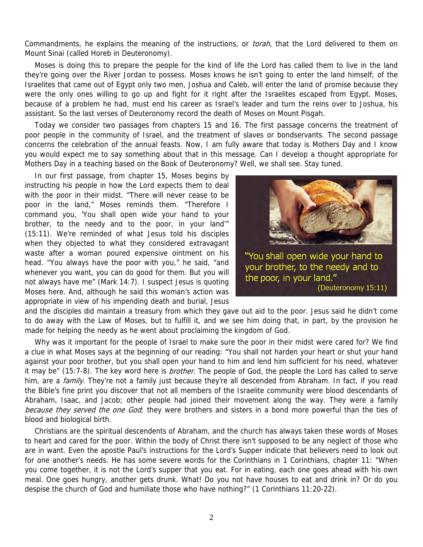Commandments, he explains the meaning of the instructions, or *torah*, that the Lord delivered to them on Mount Sinai (called Horeb in Deuteronomy).

Moses is doing this to prepare the people for the kind of life the Lord has called them to live in the land they're going over the River Jordan to possess. Moses knows he isn't going to enter the land himself; of the Israelites that came out of Egypt only two men, Joshua and Caleb, will enter the land of promise because they were the only ones willing to go up and fight for it right after the Israelites escaped from Egypt. Moses, because of a problem he had, must end his career as Israel's leader and turn the reins over to Joshua, his assistant. So the last verses of Deuteronomy record the death of Moses on Mount Pisgah.

Today we consider two passages from chapters 15 and 16. The first passage concerns the treatment of poor people in the community of Israel, and the treatment of slaves or bondservants. The second passage concerns the celebration of the annual feasts. Now, I am fully aware that today is Mothers Day and I know you would expect me to say something about that in this message. Can I develop a thought appropriate for Mothers Day in a teaching based on the Book of Deuteronomy? Well, we shall see. Stay tuned.

In our first passage, from chapter 15, Moses begins by instructing his people in how the Lord expects them to deal with the poor in their midst. "There will never cease to be poor in the land," Moses reminds them. "Therefore I command you, 'You shall open wide your hand to your brother, to the needy and to the poor, in your land'" (15:11). We're reminded of what Jesus told his disciples when they objected to what they considered extravagant waste after a woman poured expensive ointment on his head. "You always have the poor with you," he said, "and whenever you want, you can do good for them. But you will not always have me" (Mark 14:7). I suspect Jesus is quoting Moses here. And, although he said this woman's action was appropriate in view of his impending death and burial, Jesus



and the disciples did maintain a treasury from which they gave out aid to the poor. Jesus said he didn't come to do away with the Law of Moses, but to fulfill it, and we see him doing that, in part, by the provision he made for helping the needy as he went about proclaiming the kingdom of God.

Why was it important for the people of Israel to make sure the poor in their midst were cared for? We find a clue in what Moses says at the beginning of our reading: "You shall not harden your heart or shut your hand against your poor brother, but you shall open your hand to him and lend him sufficient for his need, whatever it may be" (15:7-8). The key word here is *brother*. The people of God, the people the Lord has called to serve him, are a *family*. They're not a family just because they're all descended from Abraham. In fact, if you read the Bible's fine print you discover that not all members of the Israelite community were blood descendants of Abraham, Isaac, and Jacob; other people had joined their movement along the way. They were a family because they served the one God; they were brothers and sisters in a bond more powerful than the ties of blood and biological birth.

Christians are the spiritual descendents of Abraham, and the church has always taken these words of Moses to heart and cared for the poor. Within the body of Christ there isn't supposed to be any neglect of those who are in want. Even the apostle Paul's instructions for the Lord's Supper indicate that believers need to look out for one another's needs. He has some severe words for the Corinthians in 1 Corinthians, chapter 11: "When you come together, it is not the Lord's supper that you eat. For in eating, each one goes ahead with his own meal. One goes hungry, another gets drunk. What! Do you not have houses to eat and drink in? Or do you despise the church of God and humiliate those who have nothing?" (1 Corinthians 11:20-22).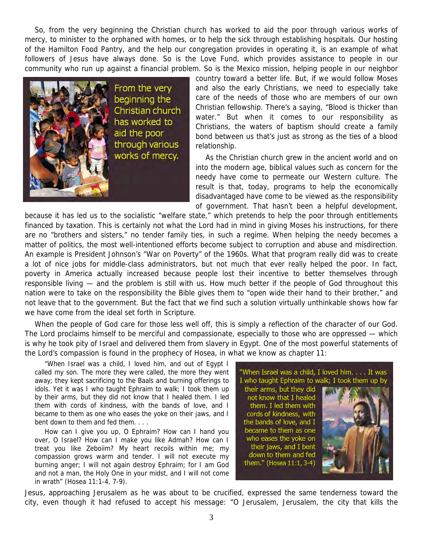So, from the very beginning the Christian church has worked to aid the poor through various works of mercy, to minister to the orphaned with homes, or to help the sick through establishing hospitals. Our hosting of the Hamilton Food Pantry, and the help our congregation provides in operating it, is an example of what followers of Jesus have always done. So is the Love Fund, which provides assistance to people in our community who run up against a financial problem. So is the Mexico mission, helping people in our neighbor



country toward a better life. But, if we would follow Moses and also the early Christians, we need to especially take care of the needs of those who are members of our own Christian fellowship. There's a saying, "Blood is thicker than water." But when it comes to our responsibility as Christians, the waters of baptism should create a family bond between us that's just as strong as the ties of a blood relationship.

As the Christian church grew in the ancient world and on into the modern age, biblical values such as concern for the needy have come to permeate our Western culture. The result is that, today, programs to help the economically disadvantaged have come to be viewed as the responsibility of government. That hasn't been a helpful development,

because it has led us to the socialistic "welfare state," which pretends to help the poor through entitlements financed by taxation. This is certainly not what the Lord had in mind in giving Moses his instructions, for there are no "brothers and sisters," no tender family ties, in such a regime. When helping the needy becomes a matter of politics, the most well-intentioned efforts become subject to corruption and abuse and misdirection. An example is President Johnson's "War on Poverty" of the 1960s. What that program really did was to create a lot of nice jobs for middle-class administrators, but not much that ever really helped the poor. In fact, poverty in America actually increased because people lost their incentive to better themselves through responsible living — and the problem is still with us. How much better if the people of God throughout this nation were to take on the responsibility the Bible gives them to "open wide their hand to their brother," and not leave that to the government. But the fact that we find such a solution virtually unthinkable shows how far we have come from the ideal set forth in Scripture.

When the people of God care for those less well off, this is simply a reflection of the character of our God. The Lord proclaims himself to be merciful and compassionate, especially to those who are oppressed — which is why he took pity of Israel and delivered them from slavery in Egypt. One of the most powerful statements of the Lord's compassion is found in the prophecy of Hosea, in what we know as chapter 11:

"When Israel was a child, I loved him, and out of Egypt I called my son. The more they were called, the more they went away; they kept sacrificing to the Baals and burning offerings to idols. Yet it was I who taught Ephraim to walk; I took them up by their arms, but they did not know that I healed them. I led them with cords of kindness, with the bands of love, and I became to them as one who eases the yoke on their jaws, and I bent down to them and fed them. . . .

How can I give you up, O Ephraim? How can I hand you over, O Israel? How can I make you like Admah? How can I treat you like Zeboiim? My heart recoils within me; my compassion grows warm and tender. I will not execute my burning anger; I will not again destroy Ephraim; for I am God and not a man, the Holy One in your midst, and I will not come in wrath" (Hosea 11:1-4, 7-9).



them." (Hosea 11:1, 3-4)



Jesus, approaching Jerusalem as he was about to be crucified, expressed the same tenderness toward the city, even though it had refused to accept his message: "O Jerusalem, Jerusalem, the city that kills the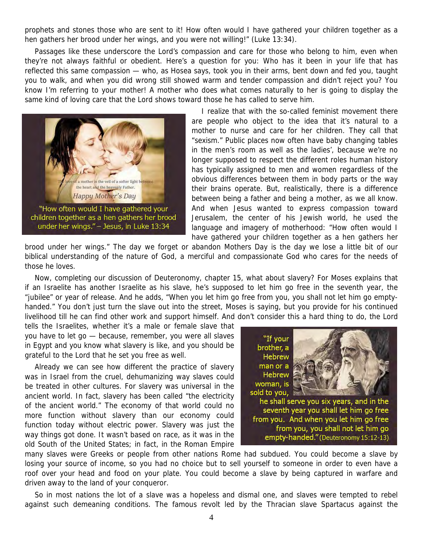prophets and stones those who are sent to it! How often would I have gathered your children together as a hen gathers her brood under her wings, and you were not willing!" (Luke 13:34).

Passages like these underscore the Lord's compassion and care for those who belong to him, even when they're not always faithful or obedient. Here's a question for you: Who has it been in your life that has reflected this same compassion — who, as Hosea says, took you in their arms, bent down and fed you, taught you to walk, and when you did wrong still showed warm and tender compassion and didn't reject you? You know I'm referring to your mother! A mother who does what comes naturally to her is going to display the same kind of loving care that the Lord shows toward those he has called to serve him.



I realize that with the so-called feminist movement there are people who object to the idea that it's natural to a mother to nurse and care for her children. They call that "sexism." Public places now often have baby changing tables in the men's room as well as the ladies', because we're no longer supposed to respect the different roles human history has typically assigned to men and women regardless of the obvious differences between them in body parts or the way their brains operate. But, realistically, there is a difference between being a father and being a mother, as we all know. And when Jesus wanted to express compassion toward Jerusalem, the center of his Jewish world, he used the language and imagery of motherhood: "How often would I have gathered your children together as a hen gathers her

brood under her wings." The day we forget or abandon Mothers Day is the day we lose a little bit of our biblical understanding of the nature of God, a merciful and compassionate God who cares for the needs of those he loves.

Now, completing our discussion of Deuteronomy, chapter 15, what about slavery? For Moses explains that if an Israelite has another Israelite as his slave, he's supposed to let him go free in the seventh year, the "jubilee" or year of release. And he adds, "When you let him go free from you, you shall not let him go emptyhanded." You don't just turn the slave out into the street, Moses is saying, but you provide for his continued livelihood till he can find other work and support himself. And don't consider this a hard thing to do, the Lord

tells the Israelites, whether it's a male or female slave that you have to let go — because, remember, you were all slaves in Egypt and you know what slavery is like, and you should be grateful to the Lord that he set you free as well.

Already we can see how different the practice of slavery was in Israel from the cruel, dehumanizing way slaves could be treated in other cultures. For slavery was universal in the ancient world. In fact, slavery has been called "the electricity of the ancient world." The economy of that world could no more function without slavery than our economy could function today without electric power. Slavery was just the way things got done. It wasn't based on race, as it was in the old South of the United States; in fact, in the Roman Empire



many slaves were Greeks or people from other nations Rome had subdued. You could become a slave by losing your source of income, so you had no choice but to sell yourself to someone in order to even have a roof over your head and food on your plate. You could become a slave by being captured in warfare and driven away to the land of your conqueror.

So in most nations the lot of a slave was a hopeless and dismal one, and slaves were tempted to rebel against such demeaning conditions. The famous revolt led by the Thracian slave Spartacus against the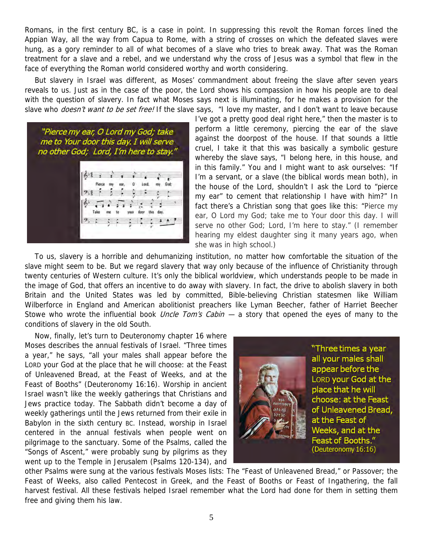Romans, in the first century BC, is a case in point. In suppressing this revolt the Roman forces lined the Appian Way, all the way from Capua to Rome, with a string of crosses on which the defeated slaves were hung, as a gory reminder to all of what becomes of a slave who tries to break away. That was the Roman treatment for a slave and a rebel, and we understand why the cross of Jesus was a symbol that flew in the face of everything the Roman world considered worthy and worth considering.

But slavery in Israel was different, as Moses' commandment about freeing the slave after seven years reveals to us. Just as in the case of the poor, the Lord shows his compassion in how his people are to deal with the question of slavery. In fact what Moses says next is illuminating, for he makes a provision for the slave who *doesn't want to be set free!* If the slave says, "I love my master, and I don't want to leave because



I've got a pretty good deal right here," then the master is to perform a little ceremony, piercing the ear of the slave against the doorpost of the house. If that sounds a little cruel, I take it that this was basically a symbolic gesture whereby the slave says, "I belong here, in this house, and in this family." You and I might want to ask ourselves: "If I'm a servant, or a slave (the biblical words mean both), in the house of the Lord, shouldn't I ask the Lord to "pierce my ear" to cement that relationship I have with him?" In fact there's a Christian song that goes like this: "Pierce my ear, O Lord my God; take me to Your door this day. I will serve no other God; Lord, I'm here to stay." (I remember hearing my eldest daughter sing it many years ago, when she was in high school.)

To us, slavery is a horrible and dehumanizing institution, no matter how comfortable the situation of the slave might seem to be. But we regard slavery that way only because of the influence of Christianity through twenty centuries of Western culture. It's only the biblical worldview, which understands people to be made in the image of God, that offers an incentive to do away with slavery. In fact, the drive to abolish slavery in both Britain and the United States was led by committed, Bible-believing Christian statesmen like William Wilberforce in England and American abolitionist preachers like Lyman Beecher, father of Harriet Beecher Stowe who wrote the influential book *Uncle Tom's Cabin*  $-$  a story that opened the eyes of many to the conditions of slavery in the old South.

Now, finally, let's turn to Deuteronomy chapter 16 where Moses describes the annual festivals of Israel. "Three times a year," he says, "all your males shall appear before the LORD your God at the place that he will choose: at the Feast of Unleavened Bread, at the Feast of Weeks, and at the Feast of Booths" (Deuteronomy 16:16). Worship in ancient Israel wasn't like the weekly gatherings that Christians and Jews practice today. The Sabbath didn't become a day of weekly gatherings until the Jews returned from their exile in Babylon in the sixth century BC. Instead, worship in Israel centered in the annual festivals when people went on pilgrimage to the sanctuary. Some of the Psalms, called the "Songs of Ascent," were probably sung by pilgrims as they went up to the Temple in Jerusalem (Psalms 120-134), and



other Psalms were sung at the various festivals Moses lists: The "Feast of Unleavened Bread," or Passover; the Feast of Weeks, also called Pentecost in Greek, and the Feast of Booths or Feast of Ingathering, the fall harvest festival. All these festivals helped Israel remember what the Lord had done for them in setting them free and giving them his law.